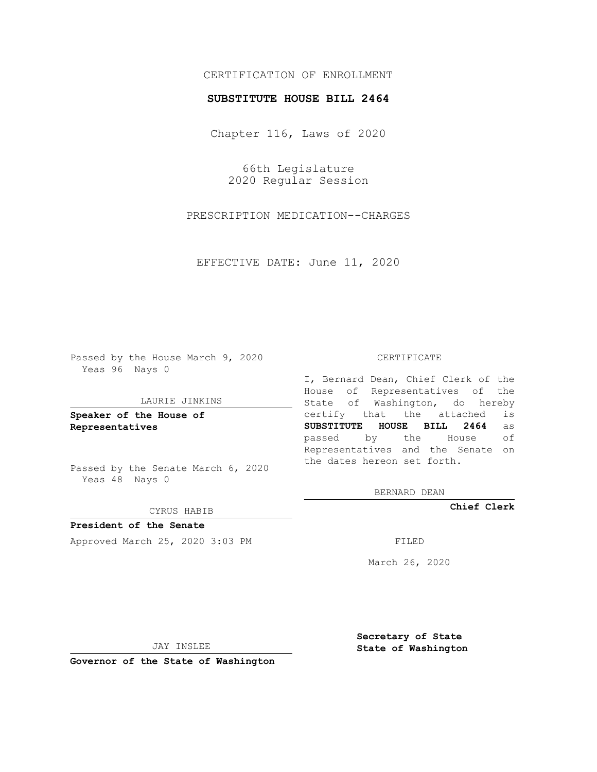# CERTIFICATION OF ENROLLMENT

## **SUBSTITUTE HOUSE BILL 2464**

Chapter 116, Laws of 2020

66th Legislature 2020 Regular Session

PRESCRIPTION MEDICATION--CHARGES

EFFECTIVE DATE: June 11, 2020

Passed by the House March 9, 2020 Yeas 96 Nays 0

### LAURIE JINKINS

**Speaker of the House of Representatives**

Passed by the Senate March 6, 2020 Yeas 48 Nays 0

#### CYRUS HABIB

**President of the Senate** Approved March 25, 2020 3:03 PM

## CERTIFICATE

I, Bernard Dean, Chief Clerk of the House of Representatives of the State of Washington, do hereby certify that the attached is **SUBSTITUTE HOUSE BILL 2464** as passed by the House of Representatives and the Senate on the dates hereon set forth.

BERNARD DEAN

**Chief Clerk**

March 26, 2020

JAY INSLEE

**Governor of the State of Washington**

**Secretary of State State of Washington**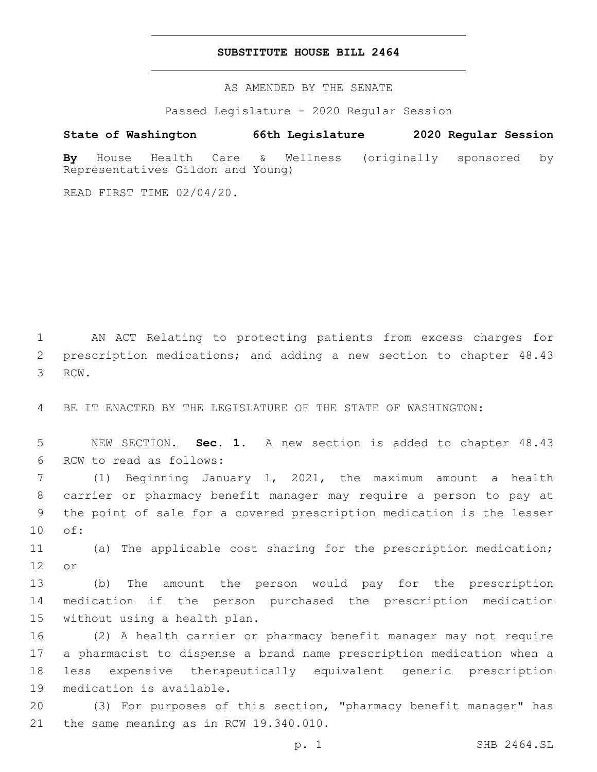## **SUBSTITUTE HOUSE BILL 2464**

AS AMENDED BY THE SENATE

Passed Legislature - 2020 Regular Session

# **State of Washington 66th Legislature 2020 Regular Session**

**By** House Health Care & Wellness (originally sponsored by Representatives Gildon and Young)

READ FIRST TIME 02/04/20.

1 AN ACT Relating to protecting patients from excess charges for 2 prescription medications; and adding a new section to chapter 48.43 3 RCW.

4 BE IT ENACTED BY THE LEGISLATURE OF THE STATE OF WASHINGTON:

5 NEW SECTION. **Sec. 1.** A new section is added to chapter 48.43 6 RCW to read as follows:

 (1) Beginning January 1, 2021, the maximum amount a health carrier or pharmacy benefit manager may require a person to pay at the point of sale for a covered prescription medication is the lesser 10 of:

11 (a) The applicable cost sharing for the prescription medication; 12 or

13 (b) The amount the person would pay for the prescription 14 medication if the person purchased the prescription medication 15 without using a health plan.

 (2) A health carrier or pharmacy benefit manager may not require a pharmacist to dispense a brand name prescription medication when a less expensive therapeutically equivalent generic prescription 19 medication is available.

20 (3) For purposes of this section, "pharmacy benefit manager" has 21 the same meaning as in RCW 19.340.010.

p. 1 SHB 2464.SL